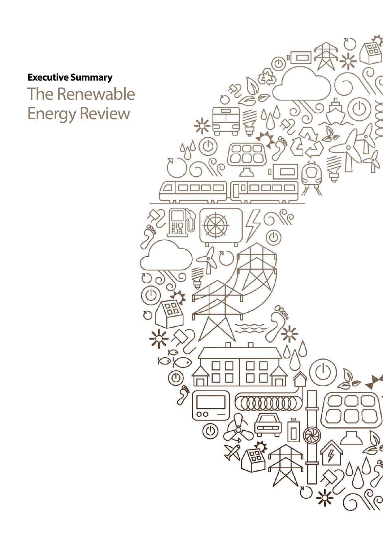**Executive Summary** The Renewable Energy Review

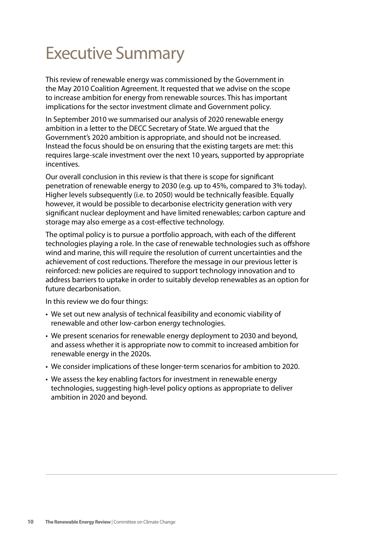# Executive Summary

This review of renewable energy was commissioned by the Government in the May 2010 Coalition Agreement. It requested that we advise on the scope to increase ambition for energy from renewable sources. This has important implications for the sector investment climate and Government policy.

In September 2010 we summarised our analysis of 2020 renewable energy ambition in a letter to the DECC Secretary of State. We argued that the Government's 2020 ambition is appropriate, and should not be increased. Instead the focus should be on ensuring that the existing targets are met: this requires large-scale investment over the next 10 years, supported by appropriate incentives.

Our overall conclusion in this review is that there is scope for significant penetration of renewable energy to 2030 (e.g. up to 45%, compared to 3% today). Higher levels subsequently (i.e. to 2050) would be technically feasible. Equally however, it would be possible to decarbonise electricity generation with very significant nuclear deployment and have limited renewables; carbon capture and storage may also emerge as a cost-effective technology.

The optimal policy is to pursue a portfolio approach, with each of the different technologies playing a role. In the case of renewable technologies such as offshore wind and marine, this will require the resolution of current uncertainties and the achievement of cost reductions. Therefore the message in our previous letter is reinforced: new policies are required to support technology innovation and to address barriers to uptake in order to suitably develop renewables as an option for future decarbonisation.

In this review we do four things:

- We set out new analysis of technical feasibility and economic viability of renewable and other low-carbon energy technologies.
- We present scenarios for renewable energy deployment to 2030 and beyond, and assess whether it is appropriate now to commit to increased ambition for renewable energy in the 2020s.
- • We consider implications of these longer-term scenarios for ambition to 2020.
- We assess the key enabling factors for investment in renewable energy technologies, suggesting high-level policy options as appropriate to deliver ambition in 2020 and beyond.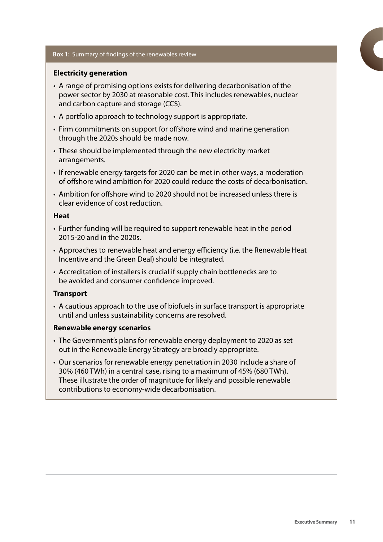#### **Box 1:** Summary of findings of the renewables review

#### **Electricity generation**

- A range of promising options exists for delivering decarbonisation of the power sector by 2030 at reasonable cost. This includes renewables, nuclear and carbon capture and storage (CCS).
- A portfolio approach to technology support is appropriate.
- Firm commitments on support for offshore wind and marine generation through the 2020s should be made now.
- These should be implemented through the new electricity market arrangements.
- If renewable energy targets for 2020 can be met in other ways, a moderation of offshore wind ambition for 2020 could reduce the costs of decarbonisation.
- • Ambition for offshore wind to 2020 should not be increased unless there is clear evidence of cost reduction.

#### **Heat**

- Further funding will be required to support renewable heat in the period 2015-20 and in the 2020s.
- Approaches to renewable heat and energy efficiency (i.e. the Renewable Heat Incentive and the Green Deal) should be integrated.
- Accreditation of installers is crucial if supply chain bottlenecks are to be avoided and consumer confidence improved.

#### **Transport**

• A cautious approach to the use of biofuels in surface transport is appropriate until and unless sustainability concerns are resolved.

#### **Renewable energy scenarios**

- The Government's plans for renewable energy deployment to 2020 as set out in the Renewable Energy Strategy are broadly appropriate.
- Our scenarios for renewable energy penetration in 2030 include a share of 30% (460 TWh) in a central case, rising to a maximum of 45% (680 TWh). These illustrate the order of magnitude for likely and possible renewable contributions to economy-wide decarbonisation.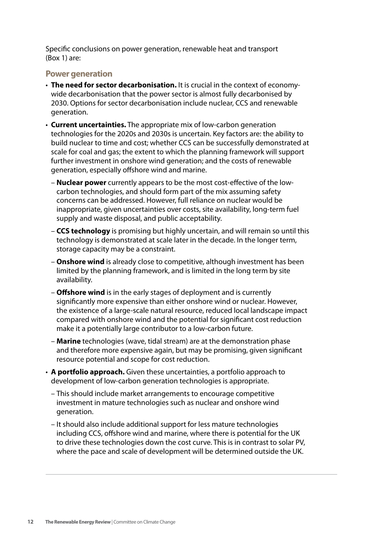Specific conclusions on power generation, renewable heat and transport (Box 1) are:

#### **Power generation**

- • **The need for sector decarbonisation.** It is crucial in the context of economywide decarbonisation that the power sector is almost fully decarbonised by 2030. Options for sector decarbonisation include nuclear, CCS and renewable generation.
- **Current uncertainties.** The appropriate mix of low-carbon generation technologies for the 2020s and 2030s is uncertain. Key factors are: the ability to build nuclear to time and cost; whether CCS can be successfully demonstrated at scale for coal and gas; the extent to which the planning framework will support further investment in onshore wind generation; and the costs of renewable generation, especially offshore wind and marine.
	- **Nuclear power** currently appears to be the most cost-effective of the lowcarbon technologies, and should form part of the mix assuming safety concerns can be addressed. However, full reliance on nuclear would be inappropriate, given uncertainties over costs, site availability, long-term fuel supply and waste disposal, and public acceptability.
	- **CCS technology** is promising but highly uncertain, and will remain so until this technology is demonstrated at scale later in the decade. In the longer term, storage capacity may be a constraint.
	- **Onshore wind** is already close to competitive, although investment has been limited by the planning framework, and is limited in the long term by site availability.
	- **Offshore wind** is in the early stages of deployment and is currently significantly more expensive than either onshore wind or nuclear. However, the existence of a large-scale natural resource, reduced local landscape impact compared with onshore wind and the potential for significant cost reduction make it a potentially large contributor to a low-carbon future.
	- **Marine** technologies (wave, tidal stream) are at the demonstration phase and therefore more expensive again, but may be promising, given significant resource potential and scope for cost reduction.
- • **A portfolio approach.** Given these uncertainties, a portfolio approach to development of low-carbon generation technologies is appropriate.
	- This should include market arrangements to encourage competitive investment in mature technologies such as nuclear and onshore wind generation.
	- It should also include additional support for less mature technologies including CCS, offshore wind and marine, where there is potential for the UK to drive these technologies down the cost curve. This is in contrast to solar PV, where the pace and scale of development will be determined outside the UK.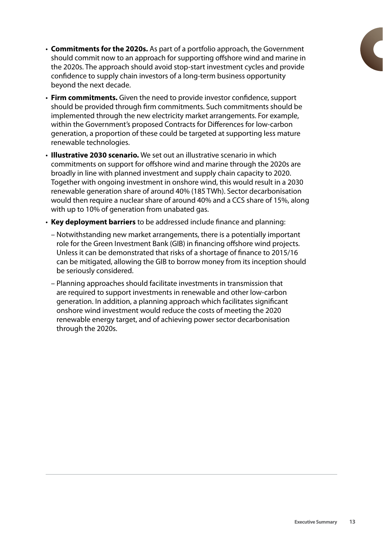- • **Commitments for the 2020s.** As part of a portfolio approach, the Government should commit now to an approach for supporting offshore wind and marine in the 2020s. The approach should avoid stop-start investment cycles and provide confidence to supply chain investors of a long-term business opportunity beyond the next decade.
- • **Firm commitments.** Given the need to provide investor confidence, support should be provided through firm commitments. Such commitments should be implemented through the new electricity market arrangements. For example, within the Government's proposed Contracts for Differences for low-carbon generation, a proportion of these could be targeted at supporting less mature renewable technologies.
- **Illustrative 2030 scenario.** We set out an illustrative scenario in which commitments on support for offshore wind and marine through the 2020s are broadly in line with planned investment and supply chain capacity to 2020. Together with ongoing investment in onshore wind, this would result in a 2030 renewable generation share of around 40% (185 TWh). Sector decarbonisation would then require a nuclear share of around 40% and a CCS share of 15%, along with up to 10% of generation from unabated gas.
- • **Key deployment barriers** to be addressed include finance and planning:
	- Notwithstanding new market arrangements, there is a potentially important role for the Green Investment Bank (GIB) in financing offshore wind projects. Unless it can be demonstrated that risks of a shortage of finance to 2015/16 can be mitigated, allowing the GIB to borrow money from its inception should be seriously considered.
	- Planning approaches should facilitate investments in transmission that are required to support investments in renewable and other low-carbon generation. In addition, a planning approach which facilitates significant onshore wind investment would reduce the costs of meeting the 2020 renewable energy target, and of achieving power sector decarbonisation through the 2020s.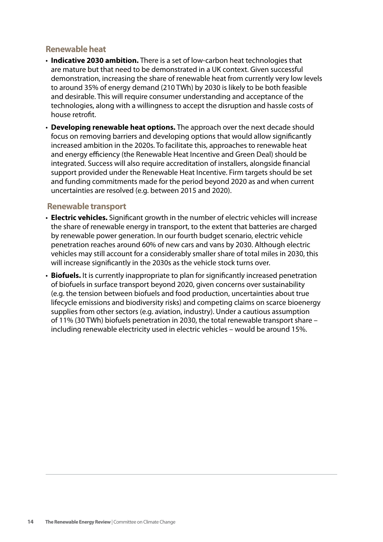## **Renewable heat**

- **Indicative 2030 ambition.** There is a set of low-carbon heat technologies that are mature but that need to be demonstrated in a UK context. Given successful demonstration, increasing the share of renewable heat from currently very low levels to around 35% of energy demand (210 TWh) by 2030 is likely to be both feasible and desirable. This will require consumer understanding and acceptance of the technologies, along with a willingness to accept the disruption and hassle costs of house retrofit.
- **Developing renewable heat options.** The approach over the next decade should focus on removing barriers and developing options that would allow significantly increased ambition in the 2020s. To facilitate this, approaches to renewable heat and energy efficiency (the Renewable Heat Incentive and Green Deal) should be integrated. Success will also require accreditation of installers, alongside financial support provided under the Renewable Heat Incentive. Firm targets should be set and funding commitments made for the period beyond 2020 as and when current uncertainties are resolved (e.g. between 2015 and 2020).

#### **Renewable transport**

- **Electric vehicles.** Significant growth in the number of electric vehicles will increase the share of renewable energy in transport, to the extent that batteries are charged by renewable power generation. In our fourth budget scenario, electric vehicle penetration reaches around 60% of new cars and vans by 2030. Although electric vehicles may still account for a considerably smaller share of total miles in 2030, this will increase significantly in the 2030s as the vehicle stock turns over.
- **Biofuels.** It is currently inappropriate to plan for significantly increased penetration of biofuels in surface transport beyond 2020, given concerns over sustainability (e.g. the tension between biofuels and food production, uncertainties about true lifecycle emissions and biodiversity risks) and competing claims on scarce bioenergy supplies from other sectors (e.g. aviation, industry). Under a cautious assumption of 11% (30 TWh) biofuels penetration in 2030, the total renewable transport share – including renewable electricity used in electric vehicles – would be around 15%.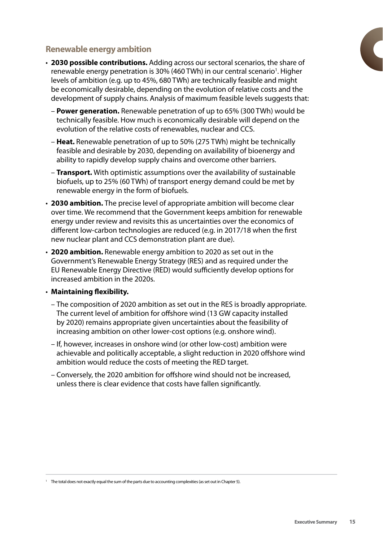# **Renewable energy ambition**

- • **2030 possible contributions.** Adding across our sectoral scenarios, the share of renewable energy penetration is 30% (460 TWh) in our central scenario<sup>1</sup>. Higher levels of ambition (e.g. up to 45%, 680 TWh) are technically feasible and might be economically desirable, depending on the evolution of relative costs and the development of supply chains. Analysis of maximum feasible levels suggests that:
	- **Power generation.** Renewable penetration of up to 65% (300 TWh) would be technically feasible. How much is economically desirable will depend on the evolution of the relative costs of renewables, nuclear and CCS.
	- **Heat.** Renewable penetration of up to 50% (275 TWh) might be technically feasible and desirable by 2030, depending on availability of bioenergy and ability to rapidly develop supply chains and overcome other barriers.
	- **Transport.** With optimistic assumptions over the availability of sustainable biofuels, up to 25% (60 TWh) of transport energy demand could be met by renewable energy in the form of biofuels.
- **2030 ambition.** The precise level of appropriate ambition will become clear over time. We recommend that the Government keeps ambition for renewable energy under review and revisits this as uncertainties over the economics of different low-carbon technologies are reduced (e.g. in 2017/18 when the first new nuclear plant and CCS demonstration plant are due).
- • **2020 ambition.** Renewable energy ambition to 2020 as set out in the Government's Renewable Energy Strategy (RES) and as required under the EU Renewable Energy Directive (RED) would sufficiently develop options for increased ambition in the 2020s.
- • **Maintaining flexibility.**
	- The composition of 2020 ambition as set out in the RES is broadly appropriate. The current level of ambition for offshore wind (13 GW capacity installed by 2020) remains appropriate given uncertainties about the feasibility of increasing ambition on other lower-cost options (e.g. onshore wind).
	- If, however, increases in onshore wind (or other low-cost) ambition were achievable and politically acceptable, a slight reduction in 2020 offshore wind ambition would reduce the costs of meeting the RED target.
	- Conversely, the 2020 ambition for offshore wind should not be increased, unless there is clear evidence that costs have fallen significantly.

<sup>&</sup>lt;sup>1</sup> The total does not exactly equal the sum of the parts due to accounting complexities (as set out in Chapter 5).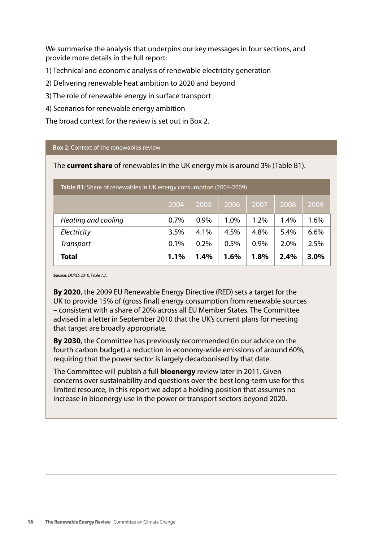We summarise the analysis that underpins our key messages in four sections, and provide more details in the full report:

1) Technical and economic analysis of renewable electricity generation

2) Delivering renewable heat ambition to 2020 and beyond

3) The role of renewable energy in surface transport

4) Scenarios for renewable energy ambition

The broad context for the review is set out in Box 2.

#### **Box 2:** Context of the renewables review

The **current share** of renewables in the UK energy mix is around 3% (Table B1).

| <b>Table B1:</b> Share of renewables in UK energy consumption (2004-2009) |      |         |      |         |         |      |
|---------------------------------------------------------------------------|------|---------|------|---------|---------|------|
|                                                                           | 2004 | 2005    | 2006 | 2007    | 2008    | 2009 |
| Heating and cooling                                                       | 0.7% | 0.9%    | 1.0% | $1.2\%$ | $1.4\%$ | 1.6% |
| Electricity                                                               | 3.5% | 4.1%    | 4.5% | 4.8%    | $5.4\%$ | 6.6% |
| <b>Transport</b>                                                          | 0.1% | 0.2%    | 0.5% | 0.9%    | 2.0%    | 2.5% |
| <b>Total</b>                                                              | 1.1% | $1.4\%$ | 1.6% | 1.8%    | 2.4%    | 3.0% |

**Source:***DUKES* 2010, Table 7.7.

**By 2020**, the 2009 EU Renewable Energy Directive (RED) sets a target for the UK to provide 15% of (gross final) energy consumption from renewable sources – consistent with a share of 20% across all EU Member States. The Committee advised in a letter in September 2010 that the UK's current plans for meeting that target are broadly appropriate.

**By 2030**, the Committee has previously recommended (in our advice on the fourth carbon budget) a reduction in economy-wide emissions of around 60%, requiring that the power sector is largely decarbonised by that date.

The Committee will publish a full **bioenergy** review later in 2011. Given concerns over sustainability and questions over the best long-term use for this limited resource, in this report we adopt a holding position that assumes no increase in bioenergy use in the power or transport sectors beyond 2020.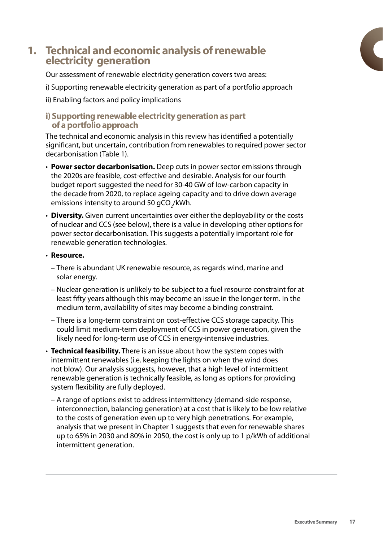# **1. Technical and economic analysis of renewable electricity generation**

Our assessment of renewable electricity generation covers two areas:

- i) Supporting renewable electricity generation as part of a portfolio approach
- ii) Enabling factors and policy implications

#### **i) Supporting renewable electricity generation as part of a portfolio approach**

The technical and economic analysis in this review has identified a potentially significant, but uncertain, contribution from renewables to required power sector decarbonisation (Table 1).

- **Power sector decarbonisation.** Deep cuts in power sector emissions through the 2020s are feasible, cost-effective and desirable. Analysis for our fourth budget report suggested the need for 30-40 GW of low-carbon capacity in the decade from 2020, to replace ageing capacity and to drive down average emissions intensity to around 50 gCO $_{\rm 2}$ /kWh.
- **Diversity.** Given current uncertainties over either the deployability or the costs of nuclear and CCS (see below), there is a value in developing other options for power sector decarbonisation. This suggests a potentially important role for renewable generation technologies.
- • **Resource.**
	- There is abundant UK renewable resource, as regards wind, marine and solar energy.
	- Nuclear generation is unlikely to be subject to a fuel resource constraint for at least fifty years although this may become an issue in the longer term. In the medium term, availability of sites may become a binding constraint.
	- There is a long-term constraint on cost-effective CCS storage capacity. This could limit medium-term deployment of CCS in power generation, given the likely need for long-term use of CCS in energy-intensive industries.
- **Technical feasibility.** There is an issue about how the system copes with intermittent renewables (i.e. keeping the lights on when the wind does not blow). Our analysis suggests, however, that a high level of intermittent renewable generation is technically feasible, as long as options for providing system flexibility are fully deployed.
	- A range of options exist to address intermittency (demand-side response, interconnection, balancing generation) at a cost that is likely to be low relative to the costs of generation even up to very high penetrations. For example, analysis that we present in Chapter 1 suggests that even for renewable shares up to 65% in 2030 and 80% in 2050, the cost is only up to 1 p/kWh of additional intermittent generation.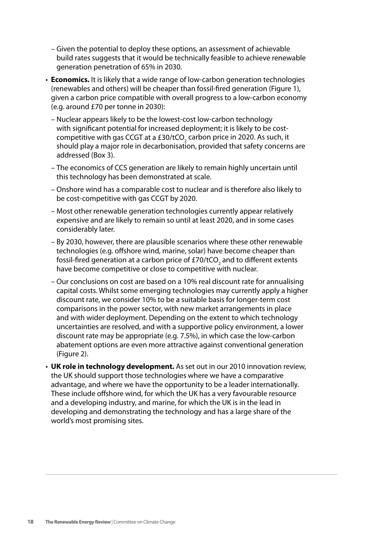- Given the potential to deploy these options, an assessment of achievable build rates suggests that it would be technically feasible to achieve renewable generation penetration of 65% in 2030.
- **Economics.** It is likely that a wide range of low-carbon generation technologies (renewables and others) will be cheaper than fossil-fired generation (Figure 1), given a carbon price compatible with overall progress to a low-carbon economy (e.g. around £70 per tonne in 2030):
	- Nuclear appears likely to be the lowest-cost low-carbon technology with significant potential for increased deployment; it is likely to be costcompetitive with gas CCGT at a £30/tCO $_{\textrm{\tiny{2}}}$  carbon price in 2020. As such, it should play a major role in decarbonisation, provided that safety concerns are addressed (Box 3).
	- The economics of CCS generation are likely to remain highly uncertain until this technology has been demonstrated at scale.
	- Onshore wind has a comparable cost to nuclear and is therefore also likely to be cost-competitive with gas CCGT by 2020.
	- Most other renewable generation technologies currently appear relatively expensive and are likely to remain so until at least 2020, and in some cases considerably later.
	- By 2030, however, there are plausible scenarios where these other renewable technologies (e.g. offshore wind, marine, solar) have become cheaper than fossil-fired generation at a carbon price of £70/tCO<sub>2</sub> and to different extents have become competitive or close to competitive with nuclear.
	- Our conclusions on cost are based on a 10% real discount rate for annualising capital costs. Whilst some emerging technologies may currently apply a higher discount rate, we consider 10% to be a suitable basis for longer-term cost comparisons in the power sector, with new market arrangements in place and with wider deployment. Depending on the extent to which technology uncertainties are resolved, and with a supportive policy environment, a lower discount rate may be appropriate (e.g. 7.5%), in which case the low-carbon abatement options are even more attractive against conventional generation (Figure 2).
- **UK role in technology development.** As set out in our 2010 innovation review, the UK should support those technologies where we have a comparative advantage, and where we have the opportunity to be a leader internationally. These include offshore wind, for which the UK has a very favourable resource and a developing industry, and marine, for which the UK is in the lead in developing and demonstrating the technology and has a large share of the world's most promising sites.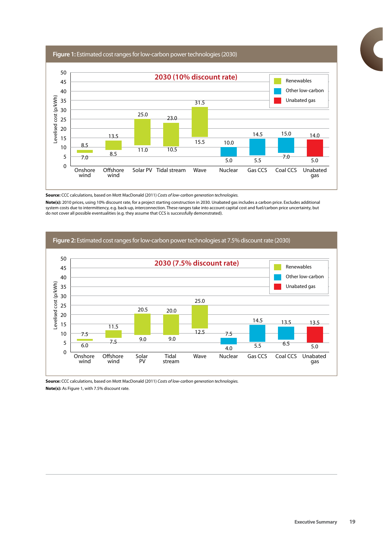**Figure 1:** Estimated cost ranges for low-carbon power technologies (2030)



**Source:** CCC calculations, based on Mott MacDonald (2011) *Costs of low-carbon generation technologies.*

**Note(s):** 2010 prices, using 10% discount rate, for a project starting construction in 2030. Unabated gas includes a carbon price. Excludes additional system costs due to intermittency, e.g. back-up, interconnection. These ranges take into account capital cost and fuel/carbon price uncertainty, but do not cover all possible eventualities (e.g. they assume that CCS is successfully demonstrated).



**Source:** CCC calculations, based on Mott MacDonald (2011) *Costs of low-carbon generation technologies.* **Note(s):** As Figure 1, with 7.5% discount rate.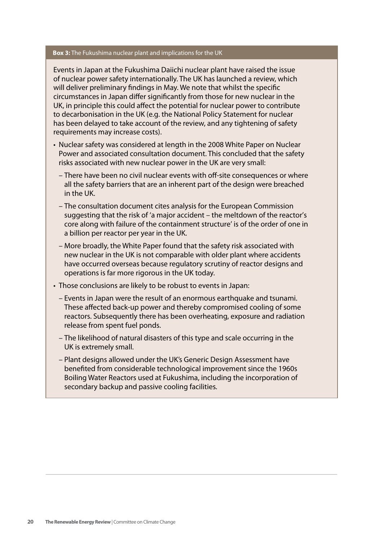#### **Box 3:** The Fukushima nuclear plant and implications for the UK

Events in Japan at the Fukushima Daiichi nuclear plant have raised the issue of nuclear power safety internationally. The UK has launched a review, which will deliver preliminary findings in May. We note that whilst the specific circumstances in Japan differ significantly from those for new nuclear in the UK, in principle this could affect the potential for nuclear power to contribute to decarbonisation in the UK (e.g. the National Policy Statement for nuclear has been delayed to take account of the review, and any tightening of safety requirements may increase costs).

- Nuclear safety was considered at length in the 2008 White Paper on Nuclear Power and associated consultation document. This concluded that the safety risks associated with new nuclear power in the UK are very small:
	- There have been no civil nuclear events with off-site consequences or where all the safety barriers that are an inherent part of the design were breached in the UK.
	- The consultation document cites analysis for the European Commission suggesting that the risk of 'a major accident – the meltdown of the reactor's core along with failure of the containment structure' is of the order of one in a billion per reactor per year in the UK.
	- More broadly, the White Paper found that the safety risk associated with new nuclear in the UK is not comparable with older plant where accidents have occurred overseas because regulatory scrutiny of reactor designs and operations is far more rigorous in the UK today.
- Those conclusions are likely to be robust to events in Japan:
	- Events in Japan were the result of an enormous earthquake and tsunami. These affected back-up power and thereby compromised cooling of some reactors. Subsequently there has been overheating, exposure and radiation release from spent fuel ponds.
	- The likelihood of natural disasters of this type and scale occurring in the UK is extremely small.
	- Plant designs allowed under the UK's Generic Design Assessment have benefited from considerable technological improvement since the 1960s Boiling Water Reactors used at Fukushima, including the incorporation of secondary backup and passive cooling facilities.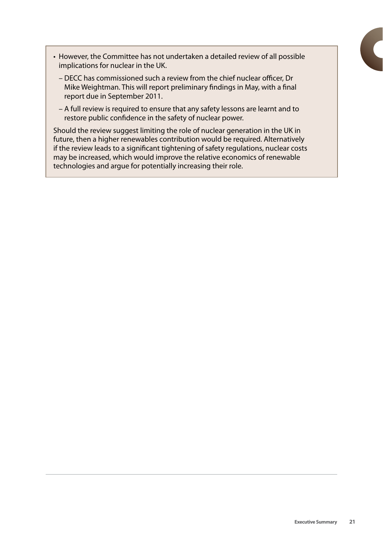- However, the Committee has not undertaken a detailed review of all possible implications for nuclear in the UK.
	- DECC has commissioned such a review from the chief nuclear officer, Dr Mike Weightman. This will report preliminary findings in May, with a final report due in September 2011.
	- A full review is required to ensure that any safety lessons are learnt and to restore public confidence in the safety of nuclear power.

Should the review suggest limiting the role of nuclear generation in the UK in future, then a higher renewables contribution would be required. Alternatively if the review leads to a significant tightening of safety regulations, nuclear costs may be increased, which would improve the relative economics of renewable technologies and argue for potentially increasing their role.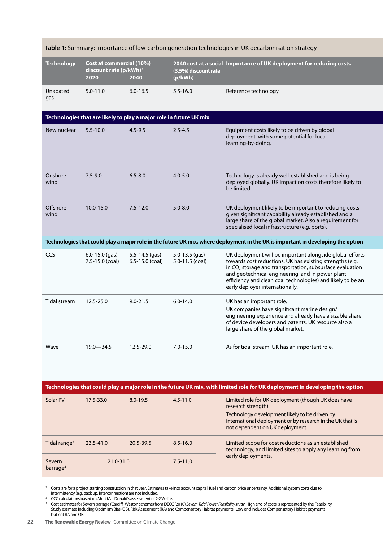| <b>Technology</b>        | Cost at commercial (10%)<br>discount rate (p/kWh) <sup>2</sup><br>2020 | 2040                                                               | (3.5%) discount rate<br>(p/kWh)       | 2040 cost at a social Importance of UK deployment for reducing costs                                                                                                                                                                                                                                                                               |
|--------------------------|------------------------------------------------------------------------|--------------------------------------------------------------------|---------------------------------------|----------------------------------------------------------------------------------------------------------------------------------------------------------------------------------------------------------------------------------------------------------------------------------------------------------------------------------------------------|
| Unabated<br>gas          | $5.0 - 11.0$                                                           | $6.0 - 16.5$                                                       | $5.5 - 16.0$                          | Reference technology                                                                                                                                                                                                                                                                                                                               |
|                          |                                                                        | Technologies that are likely to play a major role in future UK mix |                                       |                                                                                                                                                                                                                                                                                                                                                    |
| New nuclear              | $5.5 - 10.0$                                                           | $4.5 - 9.5$                                                        | $2.5 - 4.5$                           | Equipment costs likely to be driven by global<br>deployment, with some potential for local<br>learning-by-doing.                                                                                                                                                                                                                                   |
| Onshore<br>wind          | $7.5 - 9.0$                                                            | $6.5 - 8.0$                                                        | $4.0 - 5.0$                           | Technology is already well-established and is being<br>deployed globally. UK impact on costs therefore likely to<br>be limited.                                                                                                                                                                                                                    |
| Offshore<br>wind         | 10.0-15.0                                                              | $7.5 - 12.0$                                                       | $5.0 - 8.0$                           | UK deployment likely to be important to reducing costs,<br>given significant capability already established and a<br>large share of the global market. Also a requirement for<br>specialised local infrastructure (e.g. ports).                                                                                                                    |
|                          |                                                                        |                                                                    |                                       | Technologies that could play a major role in the future UK mix, where deployment in the UK is important in developing the option                                                                                                                                                                                                                   |
| CCS                      | $6.0 - 15.0$ (gas)<br>7.5-15.0 (coal)                                  | $5.5 - 14.5$ (gas)<br>$6.5 - 15.0$ (coal)                          | $5.0 - 13.5$ (gas)<br>5.0-11.5 (coal) | UK deployment will be important alongside global efforts<br>towards cost reductions. UK has existing strengths (e.g.<br>in CO <sub>2</sub> storage and transportation, subsurface evaluation<br>and geotechnical engineering, and in power plant<br>efficiency and clean coal technologies) and likely to be an<br>early deployer internationally. |
| Tidal stream             | 12.5-25.0                                                              | $9.0 - 21.5$                                                       | $6.0 - 14.0$                          | UK has an important role.                                                                                                                                                                                                                                                                                                                          |
|                          |                                                                        |                                                                    |                                       | UK companies have significant marine design/<br>engineering experience and already have a sizable share<br>of device developers and patents. UK resource also a<br>large share of the global market.                                                                                                                                               |
| Wave                     | $19.0 - 34.5$                                                          | 12.5-29.0                                                          | $7.0 - 15.0$                          | As for tidal stream, UK has an important role.                                                                                                                                                                                                                                                                                                     |
|                          |                                                                        |                                                                    |                                       | Technologies that could play a major role in the future UK mix, with limited role for UK deployment in developing the option                                                                                                                                                                                                                       |
| Solar PV                 | 17.5-33.0                                                              | $8.0 - 19.5$                                                       | $4.5 - 11.0$                          | Limited role for UK deployment (though UK does have<br>research strength).<br>Technology development likely to be driven by<br>international deployment or by research in the UK that is<br>not dependent on UK deployment.                                                                                                                        |
| Tidal range <sup>3</sup> | 23.5-41.0                                                              | 20.5-39.5                                                          | $8.5 - 16.0$                          | Limited scope for cost reductions as an established<br>technology, and limited sites to apply any learning from                                                                                                                                                                                                                                    |
| Severn                   | 21.0-31.0                                                              |                                                                    | $7.5 - 11.0$                          | early deployments.                                                                                                                                                                                                                                                                                                                                 |

#### **Table 1:** Summary: Importance of low-carbon generation technologies in UK decarbonisation strategy

 $^2$  Costs are for a project starting construction in that year. Estimates take into account capital, fuel and carbon price uncertainty. Additional system costs due to

intermittency (e.g. back up, interconnection) are not included.<br><sup>3</sup> CCC calculations based on Mott MacDonald's assessment of 2 GW site.<br><sup>4</sup> Cost estimates for Severn barrage (Cardiff-Weston scheme) from DECC (2010) *Severn* Study estimate including Optimism Bias (OB), Risk Assessment (RA) and Compensatory Habitat payments. Low end includes Compensatory Habitat payments but not RA and OB.

barrage4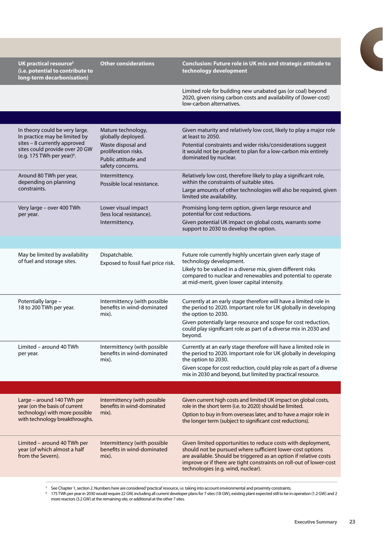| UK practical resource <sup>5</sup><br>(i.e. potential to contribute to<br>long-term decarbonisation)                                                                        | <b>Other considerations</b>                                                                                                       | Conclusion: Future role in UK mix and strategic attitude to<br>technology development                                                                                                                                                                                                                         |
|-----------------------------------------------------------------------------------------------------------------------------------------------------------------------------|-----------------------------------------------------------------------------------------------------------------------------------|---------------------------------------------------------------------------------------------------------------------------------------------------------------------------------------------------------------------------------------------------------------------------------------------------------------|
|                                                                                                                                                                             |                                                                                                                                   | Limited role for building new unabated gas (or coal) beyond<br>2020, given rising carbon costs and availability of (lower-cost)<br>low-carbon alternatives.                                                                                                                                                   |
|                                                                                                                                                                             |                                                                                                                                   |                                                                                                                                                                                                                                                                                                               |
| In theory could be very large.<br>In practice may be limited by<br>sites - 8 currently approved<br>sites could provide over 20 GW<br>(e.g. 175 TWh per year) <sup>6</sup> . | Mature technology,<br>globally deployed.<br>Waste disposal and<br>proliferation risks.<br>Public attitude and<br>safety concerns. | Given maturity and relatively low cost, likely to play a major role<br>at least to 2050.<br>Potential constraints and wider risks/considerations suggest<br>it would not be prudent to plan for a low-carbon mix entirely<br>dominated by nuclear.                                                            |
| Around 80 TWh per year,<br>depending on planning<br>constraints.                                                                                                            | Intermittency.<br>Possible local resistance.                                                                                      | Relatively low cost, therefore likely to play a significant role,<br>within the constraints of suitable sites.<br>Large amounts of other technologies will also be required, given<br>limited site availability.                                                                                              |
| Very large - over 400 TWh<br>per year.                                                                                                                                      | Lower visual impact<br>(less local resistance).<br>Intermittency.                                                                 | Promising long-term option, given large resource and<br>potential for cost reductions.<br>Given potential UK impact on global costs, warrants some<br>support to 2030 to develop the option.                                                                                                                  |
|                                                                                                                                                                             |                                                                                                                                   |                                                                                                                                                                                                                                                                                                               |
| May be limited by availability<br>of fuel and storage sites.                                                                                                                | Dispatchable.<br>Exposed to fossil fuel price risk.                                                                               | Future role currently highly uncertain given early stage of<br>technology development.<br>Likely to be valued in a diverse mix, given different risks<br>compared to nuclear and renewables and potential to operate<br>at mid-merit, given lower capital intensity.                                          |
| Potentially large -<br>18 to 200 TWh per year.                                                                                                                              | Intermittency (with possible<br>benefits in wind-dominated<br>mix).                                                               | Currently at an early stage therefore will have a limited role in<br>the period to 2020. Important role for UK globally in developing<br>the option to 2030.<br>Given potentially large resource and scope for cost reduction,<br>could play significant role as part of a diverse mix in 2030 and<br>beyond. |
| Limited – around 40 TWh<br>per year.                                                                                                                                        | Intermittency (with possible<br>benefits in wind-dominated<br>mix).                                                               | Currently at an early stage therefore will have a limited role in<br>the period to 2020. Important role for UK globally in developing<br>the option to 2030.<br>Given scope for cost reduction, could play role as part of a diverse<br>mix in 2030 and beyond, but limited by practical resource.            |
|                                                                                                                                                                             |                                                                                                                                   |                                                                                                                                                                                                                                                                                                               |
| Large - around 140 TWh per<br>year (on the basis of current<br>technology) with more possible<br>with technology breakthroughs.                                             | Intermittency (with possible<br>benefits in wind-dominated<br>mix).                                                               | Given current high costs and limited UK impact on global costs,<br>role in the short term (i.e. to 2020) should be limited.<br>Option to buy in from overseas later, and to have a major role in<br>the longer term (subject to significant cost reductions).                                                 |
| Limited - around 40 TWh per<br>year (of which almost a half<br>from the Severn).                                                                                            | Intermittency (with possible<br>benefits in wind-dominated<br>mix).                                                               | Given limited opportunities to reduce costs with deployment,<br>should not be pursued where sufficient lower-cost options<br>are available. Should be triggered as an option if relative costs<br>improve or if there are tight constraints on roll-out of lower-cost<br>technologies (e.g. wind, nuclear).   |
|                                                                                                                                                                             |                                                                                                                                   |                                                                                                                                                                                                                                                                                                               |

<sup>5</sup> See Chapter 1, section 2. Numbers here are considered 'practical' resource, i.e. taking into account environmental and proximity constraints.

6 175 TWh per year in 2030 would require 22 GW, including all current developer plans for 7 sites (18 GW), existing plant expected still to be in operation (1.2 GW) and 2 more reactors (3.2 GW) at the remaining site, or additional at the other 7 sites.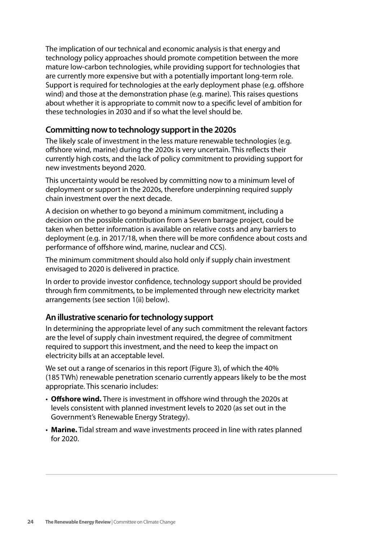The implication of our technical and economic analysis is that energy and technology policy approaches should promote competition between the more mature low-carbon technologies, while providing support for technologies that are currently more expensive but with a potentially important long-term role. Support is required for technologies at the early deployment phase (e.g. offshore wind) and those at the demonstration phase (e.g. marine). This raises questions about whether it is appropriate to commit now to a specific level of ambition for these technologies in 2030 and if so what the level should be.

## **Committing now to technology support in the 2020s**

The likely scale of investment in the less mature renewable technologies (e.g. offshore wind, marine) during the 2020s is very uncertain. This reflects their currently high costs, and the lack of policy commitment to providing support for new investments beyond 2020.

This uncertainty would be resolved by committing now to a minimum level of deployment or support in the 2020s, therefore underpinning required supply chain investment over the next decade.

A decision on whether to go beyond a minimum commitment, including a decision on the possible contribution from a Severn barrage project, could be taken when better information is available on relative costs and any barriers to deployment (e.g. in 2017/18, when there will be more confidence about costs and performance of offshore wind, marine, nuclear and CCS).

The minimum commitment should also hold only if supply chain investment envisaged to 2020 is delivered in practice.

In order to provide investor confidence, technology support should be provided through firm commitments, to be implemented through new electricity market arrangements (see section 1(ii) below).

### **An illustrative scenario for technology support**

In determining the appropriate level of any such commitment the relevant factors are the level of supply chain investment required, the degree of commitment required to support this investment, and the need to keep the impact on electricity bills at an acceptable level.

We set out a range of scenarios in this report (Figure 3), of which the 40% (185 TWh) renewable penetration scenario currently appears likely to be the most appropriate. This scenario includes:

- • **Offshore wind.** There is investment in offshore wind through the 2020s at levels consistent with planned investment levels to 2020 (as set out in the Government's Renewable Energy Strategy).
- Marine. Tidal stream and wave investments proceed in line with rates planned for 2020.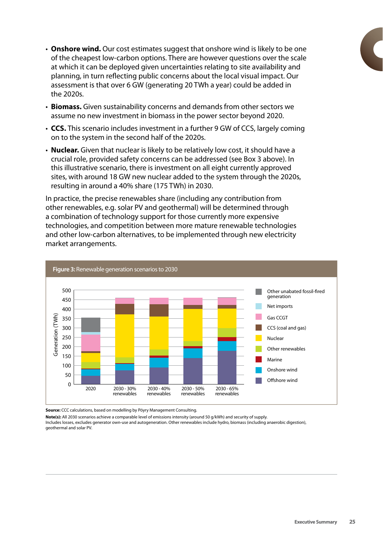- • **Onshore wind.** Our cost estimates suggest that onshore wind is likely to be one of the cheapest low-carbon options. There are however questions over the scale at which it can be deployed given uncertainties relating to site availability and planning, in turn reflecting public concerns about the local visual impact. Our assessment is that over 6 GW (generating 20 TWh a year) could be added in the 2020s.
- Biomass. Given sustainability concerns and demands from other sectors we assume no new investment in biomass in the power sector beyond 2020.
- **CCS.** This scenario includes investment in a further 9 GW of CCS, largely coming on to the system in the second half of the 2020s.
- **Nuclear.** Given that nuclear is likely to be relatively low cost, it should have a crucial role, provided safety concerns can be addressed (see Box 3 above). In this illustrative scenario, there is investment on all eight currently approved sites, with around 18 GW new nuclear added to the system through the 2020s, resulting in around a 40% share (175 TWh) in 2030.

In practice, the precise renewables share (including any contribution from other renewables, e.g. solar PV and geothermal) will be determined through a combination of technology support for those currently more expensive technologies, and competition between more mature renewable technologies and other low-carbon alternatives, to be implemented through new electricity market arrangements.



**Source:** CCC calculations, based on modelling by Pöyry Management Consulting.

**Note(s):** All 2030 scenarios achieve a comparable level of emissions intensity (around 50 g/kWh) and security of supply. Includes losses, excludes generator own-use and autogeneration. Other renewables include hydro, biomass (including anaerobic digestion),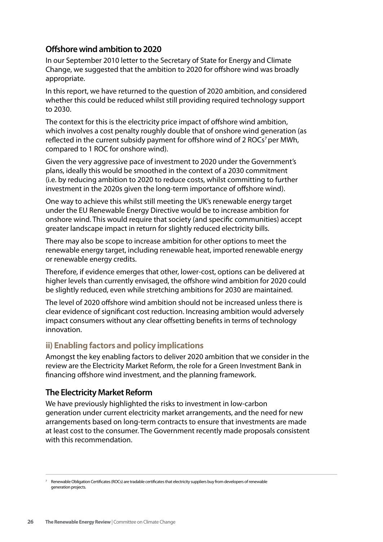# **Offshore wind ambition to 2020**

In our September 2010 letter to the Secretary of State for Energy and Climate Change, we suggested that the ambition to 2020 for offshore wind was broadly appropriate.

In this report, we have returned to the question of 2020 ambition, and considered whether this could be reduced whilst still providing required technology support to 2030.

The context for this is the electricity price impact of offshore wind ambition, which involves a cost penalty roughly double that of onshore wind generation (as reflected in the current subsidy payment for offshore wind of 2 ROCs<sup>7</sup> per MWh, compared to 1 ROC for onshore wind).

Given the very aggressive pace of investment to 2020 under the Government's plans, ideally this would be smoothed in the context of a 2030 commitment (i.e. by reducing ambition to 2020 to reduce costs, whilst committing to further investment in the 2020s given the long-term importance of offshore wind).

One way to achieve this whilst still meeting the UK's renewable energy target under the EU Renewable Energy Directive would be to increase ambition for onshore wind. This would require that society (and specific communities) accept greater landscape impact in return for slightly reduced electricity bills.

There may also be scope to increase ambition for other options to meet the renewable energy target, including renewable heat, imported renewable energy or renewable energy credits.

Therefore, if evidence emerges that other, lower-cost, options can be delivered at higher levels than currently envisaged, the offshore wind ambition for 2020 could be slightly reduced, even while stretching ambitions for 2030 are maintained.

The level of 2020 offshore wind ambition should not be increased unless there is clear evidence of significant cost reduction. Increasing ambition would adversely impact consumers without any clear offsetting benefits in terms of technology innovation.

# **ii) Enabling factors and policy implications**

Amongst the key enabling factors to deliver 2020 ambition that we consider in the review are the Electricity Market Reform, the role for a Green Investment Bank in financing offshore wind investment, and the planning framework.

### **The Electricity Market Reform**

We have previously highlighted the risks to investment in low-carbon generation under current electricity market arrangements, and the need for new arrangements based on long-term contracts to ensure that investments are made at least cost to the consumer. The Government recently made proposals consistent with this recommendation.

<sup>7</sup> Renewable Obligation Certificates (ROCs) are tradable certificates that electricity suppliers buy from developers of renewable generation projects.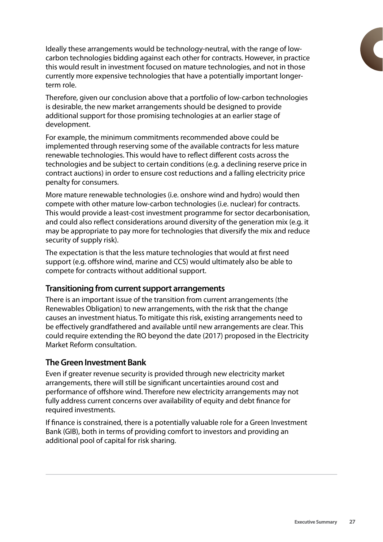Ideally these arrangements would be technology-neutral, with the range of lowcarbon technologies bidding against each other for contracts. However, in practice this would result in investment focused on mature technologies, and not in those currently more expensive technologies that have a potentially important longerterm role.

Therefore, given our conclusion above that a portfolio of low-carbon technologies is desirable, the new market arrangements should be designed to provide additional support for those promising technologies at an earlier stage of development.

For example, the minimum commitments recommended above could be implemented through reserving some of the available contracts for less mature renewable technologies. This would have to reflect different costs across the technologies and be subject to certain conditions (e.g. a declining reserve price in contract auctions) in order to ensure cost reductions and a falling electricity price penalty for consumers.

More mature renewable technologies (i.e. onshore wind and hydro) would then compete with other mature low-carbon technologies (i.e. nuclear) for contracts. This would provide a least-cost investment programme for sector decarbonisation, and could also reflect considerations around diversity of the generation mix (e.g. it may be appropriate to pay more for technologies that diversify the mix and reduce security of supply risk).

The expectation is that the less mature technologies that would at first need support (e.g. offshore wind, marine and CCS) would ultimately also be able to compete for contracts without additional support.

#### **Transitioning from current support arrangements**

There is an important issue of the transition from current arrangements (the Renewables Obligation) to new arrangements, with the risk that the change causes an investment hiatus. To mitigate this risk, existing arrangements need to be effectively grandfathered and available until new arrangements are clear. This could require extending the RO beyond the date (2017) proposed in the Electricity Market Reform consultation.

#### **The Green Investment Bank**

Even if greater revenue security is provided through new electricity market arrangements, there will still be significant uncertainties around cost and performance of offshore wind. Therefore new electricity arrangements may not fully address current concerns over availability of equity and debt finance for required investments.

If finance is constrained, there is a potentially valuable role for a Green Investment Bank (GIB), both in terms of providing comfort to investors and providing an additional pool of capital for risk sharing.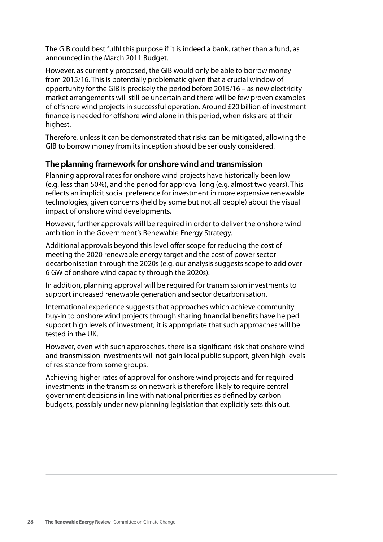The GIB could best fulfil this purpose if it is indeed a bank, rather than a fund, as announced in the March 2011 Budget.

However, as currently proposed, the GIB would only be able to borrow money from 2015/16. This is potentially problematic given that a crucial window of opportunity for the GIB is precisely the period before 2015/16 – as new electricity market arrangements will still be uncertain and there will be few proven examples of offshore wind projects in successful operation. Around £20 billion of investment finance is needed for offshore wind alone in this period, when risks are at their highest.

Therefore, unless it can be demonstrated that risks can be mitigated, allowing the GIB to borrow money from its inception should be seriously considered.

# **The planning framework for onshore wind and transmission**

Planning approval rates for onshore wind projects have historically been low (e.g. less than 50%), and the period for approval long (e.g. almost two years). This reflects an implicit social preference for investment in more expensive renewable technologies, given concerns (held by some but not all people) about the visual impact of onshore wind developments.

However, further approvals will be required in order to deliver the onshore wind ambition in the Government's Renewable Energy Strategy.

Additional approvals beyond this level offer scope for reducing the cost of meeting the 2020 renewable energy target and the cost of power sector decarbonisation through the 2020s (e.g. our analysis suggests scope to add over 6 GW of onshore wind capacity through the 2020s).

In addition, planning approval will be required for transmission investments to support increased renewable generation and sector decarbonisation.

International experience suggests that approaches which achieve community buy-in to onshore wind projects through sharing financial benefits have helped support high levels of investment; it is appropriate that such approaches will be tested in the UK.

However, even with such approaches, there is a significant risk that onshore wind and transmission investments will not gain local public support, given high levels of resistance from some groups.

Achieving higher rates of approval for onshore wind projects and for required investments in the transmission network is therefore likely to require central government decisions in line with national priorities as defined by carbon budgets, possibly under new planning legislation that explicitly sets this out.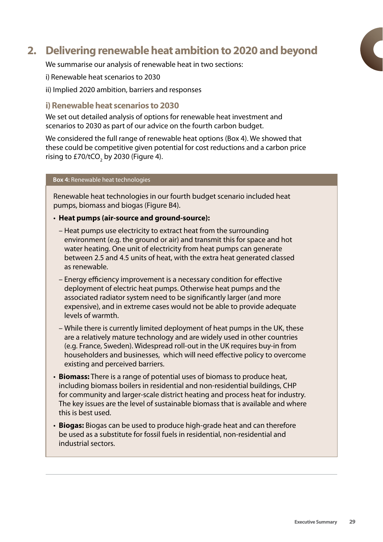# **2. Delivering renewable heat ambition to 2020 and beyond**

We summarise our analysis of renewable heat in two sections:

- i) Renewable heat scenarios to 2030
- ii) Implied 2020 ambition, barriers and responses

#### **i) Renewable heat scenarios to 2030**

We set out detailed analysis of options for renewable heat investment and scenarios to 2030 as part of our advice on the fourth carbon budget.

We considered the full range of renewable heat options (Box 4). We showed that these could be competitive given potential for cost reductions and a carbon price rising to £70/tCO $_{\rm 2}$  by 2030 (Figure 4).

#### **Box 4:** Renewable heat technologies

Renewable heat technologies in our fourth budget scenario included heat pumps, biomass and biogas (Figure B4).

#### • **Heat pumps (air-source and ground-source):**

- Heat pumps use electricity to extract heat from the surrounding environment (e.g. the ground or air) and transmit this for space and hot water heating. One unit of electricity from heat pumps can generate between 2.5 and 4.5 units of heat, with the extra heat generated classed as renewable.
- Energy efficiency improvement is a necessary condition for effective deployment of electric heat pumps. Otherwise heat pumps and the associated radiator system need to be significantly larger (and more expensive), and in extreme cases would not be able to provide adequate levels of warmth.
- While there is currently limited deployment of heat pumps in the UK, these are a relatively mature technology and are widely used in other countries (e.g. France, Sweden). Widespread roll-out in the UK requires buy-in from householders and businesses, which will need effective policy to overcome existing and perceived barriers.
- **Biomass:** There is a range of potential uses of biomass to produce heat, including biomass boilers in residential and non-residential buildings, CHP for community and larger-scale district heating and process heat for industry. The key issues are the level of sustainable biomass that is available and where this is best used.
- **Biogas:** Biogas can be used to produce high-grade heat and can therefore be used as a substitute for fossil fuels in residential, non-residential and industrial sectors.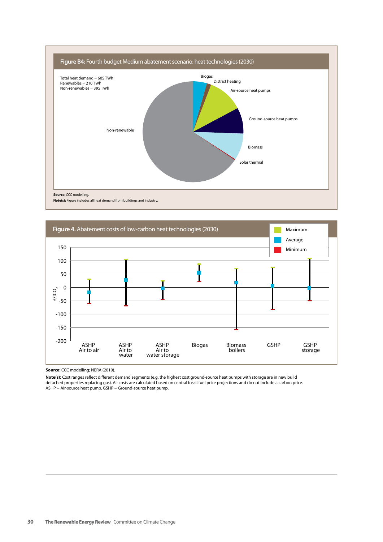



**Source:** CCC modelling; NERA (2010).

Note(s): Cost ranges reflect different demand segments (e.g. the highest cost ground-source heat pumps with storage are in new build detached properties replacing gas). All costs are calculated based on central fossil fuel price projections and do not include a carbon price.<br>ASHP = Air-source heat pump, GSHP = Ground-source heat pump.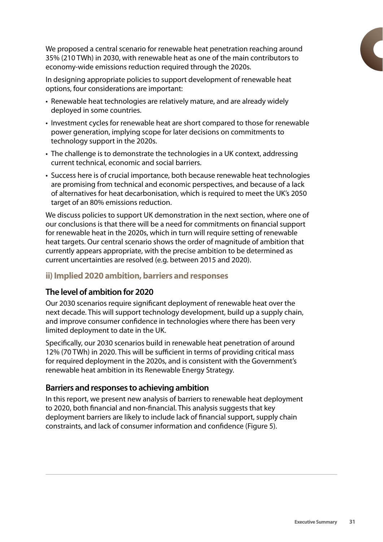We proposed a central scenario for renewable heat penetration reaching around 35% (210 TWh) in 2030, with renewable heat as one of the main contributors to economy-wide emissions reduction required through the 2020s.

In designing appropriate policies to support development of renewable heat options, four considerations are important:

- • Renewable heat technologies are relatively mature, and are already widely deployed in some countries.
- Investment cycles for renewable heat are short compared to those for renewable power generation, implying scope for later decisions on commitments to technology support in the 2020s.
- The challenge is to demonstrate the technologies in a UK context, addressing current technical, economic and social barriers.
- Success here is of crucial importance, both because renewable heat technologies are promising from technical and economic perspectives, and because of a lack of alternatives for heat decarbonisation, which is required to meet the UK's 2050 target of an 80% emissions reduction.

We discuss policies to support UK demonstration in the next section, where one of our conclusions is that there will be a need for commitments on financial support for renewable heat in the 2020s, which in turn will require setting of renewable heat targets. Our central scenario shows the order of magnitude of ambition that currently appears appropriate, with the precise ambition to be determined as current uncertainties are resolved (e.g. between 2015 and 2020).

# **ii) Implied 2020 ambition, barriers and responses**

### **The level of ambition for 2020**

Our 2030 scenarios require significant deployment of renewable heat over the next decade. This will support technology development, build up a supply chain, and improve consumer confidence in technologies where there has been very limited deployment to date in the UK.

Specifically, our 2030 scenarios build in renewable heat penetration of around 12% (70 TWh) in 2020. This will be sufficient in terms of providing critical mass for required deployment in the 2020s, and is consistent with the Government's renewable heat ambition in its Renewable Energy Strategy.

### **Barriers and responses to achieving ambition**

In this report, we present new analysis of barriers to renewable heat deployment to 2020, both financial and non-financial. This analysis suggests that key deployment barriers are likely to include lack of financial support, supply chain constraints, and lack of consumer information and confidence (Figure 5).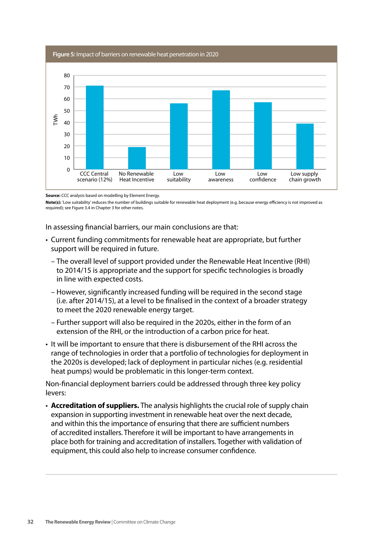**Figure 5:** Impact of barriers on renewable heat penetration in 2020 E<br>
F<br>
10<br>
0<br>
CCC Central No Renew<br>
scenario (12%) Heat Incer<br>
Source: CCC analysis based on modelling by Elemen<br>
Note(s): 'Low suitability' reduces the number of build<br>
required); see Figure 3.4 in Chapter 3 for other note 0 10 20 30  $40$ 50 60 70 80 Low supply chain growth Low confidence Low awareness Low suitability No Renewable Heat Incentive CCC Central scenario (12%)

**Source:** CCC analysis based on modelling by Element Energy.

Note(s): 'Low suitability' reduces the number of buildings suitable for renewable heat deployment (e.g. because energy efficiency is not improved as required); see Figure 3.4 in Chapter 3 for other notes.

In assessing financial barriers, our main conclusions are that:

- Current funding commitments for renewable heat are appropriate, but further support will be required in future.
	- The overall level of support provided under the Renewable Heat Incentive (RHI) to 2014/15 is appropriate and the support for specific technologies is broadly in line with expected costs.
	- However, significantly increased funding will be required in the second stage (i.e. after 2014/15), at a level to be finalised in the context of a broader strategy to meet the 2020 renewable energy target.
	- Further support will also be required in the 2020s, either in the form of an extension of the RHI, or the introduction of a carbon price for heat.
- • It will be important to ensure that there is disbursement of the RHI across the range of technologies in order that a portfolio of technologies for deployment in the 2020s is developed; lack of deployment in particular niches (e.g. residential heat pumps) would be problematic in this longer-term context.

Non-financial deployment barriers could be addressed through three key policy levers:

• **Accreditation of suppliers.** The analysis highlights the crucial role of supply chain expansion in supporting investment in renewable heat over the next decade, and within this the importance of ensuring that there are sufficient numbers of accredited installers. Therefore it will be important to have arrangements in place both for training and accreditation of installers. Together with validation of equipment, this could also help to increase consumer confidence.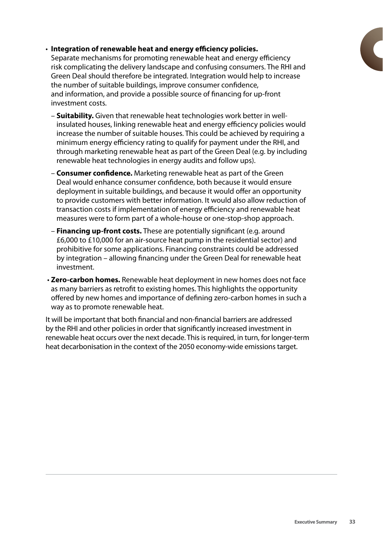#### • **Integration of renewable heat and energy efficiency policies.**

Separate mechanisms for promoting renewable heat and energy efficiency risk complicating the delivery landscape and confusing consumers. The RHI and Green Deal should therefore be integrated. Integration would help to increase the number of suitable buildings, improve consumer confidence, and information, and provide a possible source of financing for up-front investment costs.

- **Suitability.** Given that renewable heat technologies work better in wellinsulated houses, linking renewable heat and energy efficiency policies would increase the number of suitable houses. This could be achieved by requiring a minimum energy efficiency rating to qualify for payment under the RHI, and through marketing renewable heat as part of the Green Deal (e.g. by including renewable heat technologies in energy audits and follow ups).
- **Consumer confidence.** Marketing renewable heat as part of the Green Deal would enhance consumer confidence, both because it would ensure deployment in suitable buildings, and because it would offer an opportunity to provide customers with better information. It would also allow reduction of transaction costs if implementation of energy efficiency and renewable heat measures were to form part of a whole-house or one-stop-shop approach.
- **Financing up-front costs.** These are potentially significant (e.g. around £6,000 to £10,000 for an air-source heat pump in the residential sector) and prohibitive for some applications. Financing constraints could be addressed by integration – allowing financing under the Green Deal for renewable heat investment.
- • **Zero-carbon homes.** Renewable heat deployment in new homes does not face as many barriers as retrofit to existing homes. This highlights the opportunity offered by new homes and importance of defining zero-carbon homes in such a way as to promote renewable heat.

It will be important that both financial and non-financial barriers are addressed by the RHI and other policies in order that significantly increased investment in renewable heat occurs over the next decade. This is required, in turn, for longer-term heat decarbonisation in the context of the 2050 economy-wide emissions target.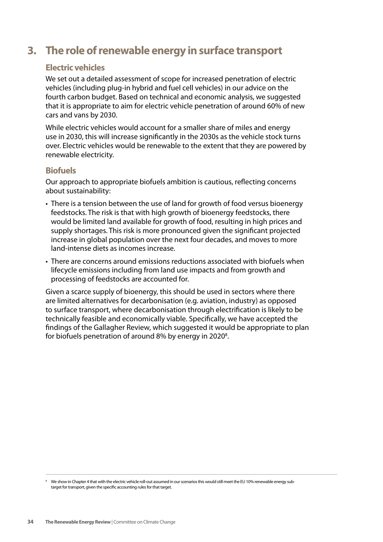# **3. The role of renewable energy in surface transport**

# **Electric vehicles**

We set out a detailed assessment of scope for increased penetration of electric vehicles (including plug-in hybrid and fuel cell vehicles) in our advice on the fourth carbon budget. Based on technical and economic analysis, we suggested that it is appropriate to aim for electric vehicle penetration of around 60% of new cars and vans by 2030.

While electric vehicles would account for a smaller share of miles and energy use in 2030, this will increase significantly in the 2030s as the vehicle stock turns over. Electric vehicles would be renewable to the extent that they are powered by renewable electricity.

# **Biofuels**

Our approach to appropriate biofuels ambition is cautious, reflecting concerns about sustainability:

- There is a tension between the use of land for growth of food versus bioenergy feedstocks. The risk is that with high growth of bioenergy feedstocks, there would be limited land available for growth of food, resulting in high prices and supply shortages. This risk is more pronounced given the significant projected increase in global population over the next four decades, and moves to more land-intense diets as incomes increase.
- There are concerns around emissions reductions associated with biofuels when lifecycle emissions including from land use impacts and from growth and processing of feedstocks are accounted for.

Given a scarce supply of bioenergy, this should be used in sectors where there are limited alternatives for decarbonisation (e.g. aviation, industry) as opposed to surface transport, where decarbonisation through electrification is likely to be technically feasible and economically viable. Specifically, we have accepted the findings of the Gallagher Review, which suggested it would be appropriate to plan for biofuels penetration of around 8% by energy in 2020<sup>8</sup>.

<sup>&</sup>lt;sup>8</sup> We show in Chapter 4 that with the electric vehicle roll-out assumed in our scenarios this would still meet the EU 10% renewable energy subtarget for transport, given the specific accounting rules for that target.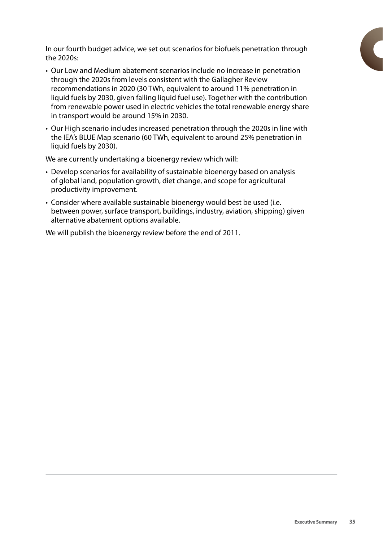In our fourth budget advice, we set out scenarios for biofuels penetration through the 2020s:

- • Our Low and Medium abatement scenarios include no increase in penetration through the 2020s from levels consistent with the Gallagher Review recommendations in 2020 (30 TWh, equivalent to around 11% penetration in liquid fuels by 2030, given falling liquid fuel use). Together with the contribution from renewable power used in electric vehicles the total renewable energy share in transport would be around 15% in 2030.
- Our High scenario includes increased penetration through the 2020s in line with the IEA's BLUE Map scenario (60 TWh, equivalent to around 25% penetration in liquid fuels by 2030).

We are currently undertaking a bioenergy review which will:

- Develop scenarios for availability of sustainable bioenergy based on analysis of global land, population growth, diet change, and scope for agricultural productivity improvement.
- Consider where available sustainable bioenergy would best be used (i.e. between power, surface transport, buildings, industry, aviation, shipping) given alternative abatement options available.

We will publish the bioenergy review before the end of 2011.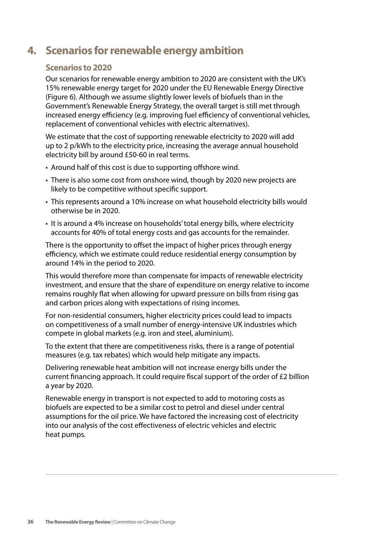# **4. Scenarios for renewable energy ambition**

# **Scenarios to 2020**

Our scenarios for renewable energy ambition to 2020 are consistent with the UK's 15% renewable energy target for 2020 under the EU Renewable Energy Directive (Figure 6). Although we assume slightly lower levels of biofuels than in the Government's Renewable Energy Strategy, the overall target is still met through increased energy efficiency (e.g. improving fuel efficiency of conventional vehicles, replacement of conventional vehicles with electric alternatives).

We estimate that the cost of supporting renewable electricity to 2020 will add up to 2 p/kWh to the electricity price, increasing the average annual household electricity bill by around £50-60 in real terms.

- Around half of this cost is due to supporting offshore wind.
- There is also some cost from onshore wind, though by 2020 new projects are likely to be competitive without specific support.
- This represents around a 10% increase on what household electricity bills would otherwise be in 2020.
- • It is around a 4% increase on households'total energy bills, where electricity accounts for 40% of total energy costs and gas accounts for the remainder.

There is the opportunity to offset the impact of higher prices through energy efficiency, which we estimate could reduce residential energy consumption by around 14% in the period to 2020.

This would therefore more than compensate for impacts of renewable electricity investment, and ensure that the share of expenditure on energy relative to income remains roughly flat when allowing for upward pressure on bills from rising gas and carbon prices along with expectations of rising incomes.

For non-residential consumers, higher electricity prices could lead to impacts on competitiveness of a small number of energy-intensive UK industries which compete in global markets (e.g. iron and steel, aluminium).

To the extent that there are competitiveness risks, there is a range of potential measures (e.g. tax rebates) which would help mitigate any impacts.

Delivering renewable heat ambition will not increase energy bills under the current financing approach. It could require fiscal support of the order of £2 billion a year by 2020.

Renewable energy in transport is not expected to add to motoring costs as biofuels are expected to be a similar cost to petrol and diesel under central assumptions for the oil price. We have factored the increasing cost of electricity into our analysis of the cost effectiveness of electric vehicles and electric heat pumps.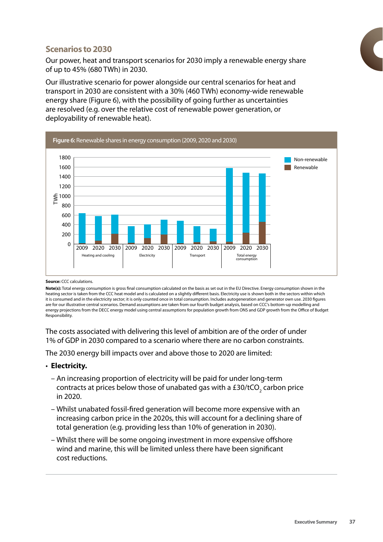# **Scenarios to 2030**

Our power, heat and transport scenarios for 2030 imply a renewable energy share of up to 45% (680 TWh) in 2030.

Our illustrative scenario for power alongside our central scenarios for heat and transport in 2030 are consistent with a 30% (460 TWh) economy-wide renewable energy share (Figure 6), with the possibility of going further as uncertainties are resolved (e.g. over the relative cost of renewable power generation, or deployability of renewable heat).



#### **Source:** CCC calculations.

**Note(s):** Total energy consumption is gross nal consumption calculated on the basis as set out in the EU Directive. Energy consumption shown in the heating sector is taken from the CCC heat model and is calculated on a slightly different basis. Electricity use is shown both in the sectors within which it is consumed and in the electricity sector; it is only counted once in total consumption. Includes autogeneration and generator own use. 2030 gures are for our illustrative central scenarios. Demand assumptions are taken from our fourth budget analysis, based on CCC's bottom-up modelling and energy projections from the DECC energy model using central assumptions for population growth from ONS and GDP growth from the Office of Budget

The costs associated with delivering this level of ambition are of the order of under 1% of GDP in 2030 compared to a scenario where there are no carbon constraints.

The 2030 energy bill impacts over and above those to 2020 are limited:

#### • **Electricity.**

- An increasing proportion of electricity will be paid for under long-term contracts at prices below those of unabated gas with a £30/tCO $_{_{2}}$  carbon price in 2020.
- Whilst unabated fossil-fired generation will become more expensive with an increasing carbon price in the 2020s, this will account for a declining share of total generation (e.g. providing less than 10% of generation in 2030).
- Whilst there will be some ongoing investment in more expensive offshore wind and marine, this will be limited unless there have been significant cost reductions.